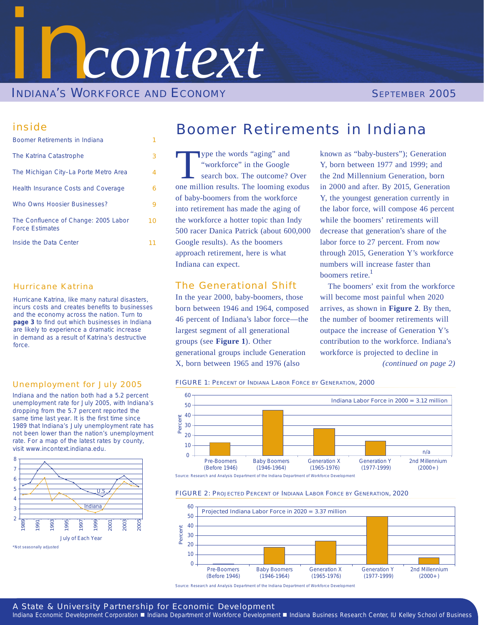

### inside

| Boomer Retirements in Indiana                                  |    |
|----------------------------------------------------------------|----|
| The Katrina Catastrophe                                        | 3  |
| The Michigan City-La Porte Metro Area                          | 4  |
| <b>Health Insurance Costs and Coverage</b>                     | 6  |
| Who Owns Hoosier Businesses?                                   | 9  |
| The Confluence of Change: 2005 Labor<br><b>Force Estimates</b> | 10 |
| Inside the Data Center                                         |    |
|                                                                |    |

### Hurricane Katrina

Hurricane Katrina, like many natural disasters, incurs costs and creates benefits to businesses and the economy across the nation. Turn to **page 3** to find out which businesses in Indiana are likely to experience a dramatic increase in demand as a result of Katrina's destructive force.

### Unemployment for July 2005

Indiana and the nation both had a 5.2 percent unemployment rate for July 2005, with Indiana's dropping from the 5.7 percent reported the same time last year. It is the first time since 1989 that Indiana's July unemployment rate has not been lower than the nation's unemployment rate. For a map of the latest rates by county, visit [www.incontext.indiana.edu.](http://www.incontext.indiana.edu)



## Boomer Retirements in Indiana

ype the words "aging" and "workforce" in the Google search box. The outcome? Over one million results. The looming exodus of baby-boomers from the workforce into retirement has made the aging of the workforce a hotter topic than Indy 500 racer Danica Patrick (about 600,000 Google results). As the boomers approach retirement, here is what Indiana can expect.

### The Generational Shift

In the year 2000, baby-boomers, those born between 1946 and 1964, composed 46 percent of Indiana's labor force—the largest segment of all generational groups (see **Figure 1**). Other generational groups include Generation X, born between 1965 and 1976 (also

known as "baby-busters"); Generation Y, born between 1977 and 1999; and the 2nd Millennium Generation, born in 2000 and after. By 2015, Generation Y, the youngest generation currently in the labor force, will compose 46 percent while the boomers' retirements will decrease that generation's share of the labor force to 27 percent. From now through 2015, Generation Y's workforce numbers will increase faster than boomers retire. $<sup>1</sup>$ </sup>

The boomers' exit from the workforce will become most painful when 2020 arrives, as shown in **Figure 2**. By then, the number of boomer retirements will outpace the increase of Generation Y's contribution to the workforce. Indiana's workforce is projected to decline in *(continued on page 2)*

FIGURE 1: PERCENT OF INDIANA LABOR FORCE BY GENERATION, 2000



Source: Research and Analysis Department of the Indiana Department of Workforce Development

#### FIGURE 2: PROJECTED PERCENT OF INDIANA LABOR FORCE BY GENERATION, 2020



Source: Research and Analysis Department of the Indiana Department of Workforce Development

### *A State & University Partnership for Economic Development*

Indiana Economic Development Corporation ■ Indiana Department of Workforce Development ■ Indiana Business Research Center, IU Kelley School of Business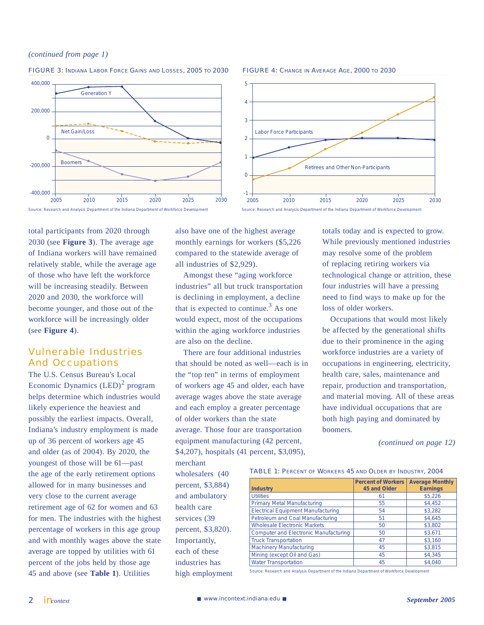#### *(continued from page 1)*





#### FIGURE 4: CHANGE IN AVERAGE AGE, 2000 TO 2030



Source: Research and Analysis Department of the Indiana Department of Workforce Development

total participants from 2020 through 2030 (see **Figure 3**). The average age of Indiana workers will have remained relatively stable, while the average age of those who have left the workforce will be increasing steadily. Between 2020 and 2030, the workforce will become younger, and those out of the workforce will be increasingly older (see **Figure 4**).

### Vulnerable Industries And Occupations

The U.S. Census Bureau's Local Economic Dynamics  $(LED)^2$  program helps determine which industries would likely experience the heaviest and possibly the earliest impacts. Overall, Indiana's industry employment is made up of 36 percent of workers age 45 and older (as of 2004). By 2020, the youngest of those will be 61—past the age of the early retirement options allowed for in many businesses and very close to the current average retirement age of 62 for women and 63 for men. The industries with the highest percentage of workers in this age group and with monthly wages above the state average are topped by utilities with 61 percent of the jobs held by those age 45 and above (see **Table 1**). Utilities

also have one of the highest average monthly earnings for workers (\$5,226 compared to the statewide average of all industries of \$2,929).

Amongst these "aging workforce industries" all but truck transportation is declining in employment, a decline that is expected to continue.<sup>3</sup> As one would expect, most of the occupations within the aging workforce industries are also on the decline.

There are four additional industries that should be noted as well—each is in the "top ten" in terms of employment of workers age 45 and older, each have average wages above the state average and each employ a greater percentage of older workers than the state average. Those four are transportation equipment manufacturing (42 percent, \$4,207), hospitals (41 percent, \$3,095),

merchant

wholesalers (40 percent, \$3,884) and ambulatory health care services (39 percent, \$3,820). Importantly, each of these industries has high employment totals today and is expected to grow. While previously mentioned industries may resolve some of the problem of replacing retiring workers via technological change or attrition, these four industries will have a pressing need to find ways to make up for the loss of older workers.

Occupations that would most likely be affected by the generational shifts due to their prominence in the aging workforce industries are a variety of occupations in engineering, electricity, health care, sales, maintenance and repair, production and transportation, and material moving. All of these areas have individual occupations that are both high paying and dominated by boomers.

*(continued on page 12)*

TABLE 1: PERCENT OF WORKERS 45 AND OLDER BY INDUSTRY, 2004

| <b>Industry</b>                              | <b>Percent of Workers</b><br>45 and Older | <b>Average Monthly</b><br><b>Earnings</b> |
|----------------------------------------------|-------------------------------------------|-------------------------------------------|
| <b>Utilities</b>                             | 61                                        | \$5,226                                   |
| <b>Primary Metal Manufacturing</b>           | 55                                        | \$4,452                                   |
| <b>Electrical Equipment Manufacturing</b>    | 54                                        | \$3,282                                   |
| Petroleum and Coal Manufacturing             | 51                                        | \$4,645                                   |
| <b>Wholesale Electronic Markets</b>          | 50                                        | \$3,802                                   |
| <b>Computer and Electronic Manufacturing</b> | 50                                        | \$3,671                                   |
| <b>Truck Transportation</b>                  | 47                                        | \$3,160                                   |
| <b>Machinery Manufacturing</b>               | 45                                        | \$3,815                                   |
| Mining (except Oil and Gas)                  | 45                                        | \$4,345                                   |
| <b>Water Transportation</b>                  | 45                                        | \$4,040                                   |

Source: Research and Analysis Department of the Indiana Department of Workforce Development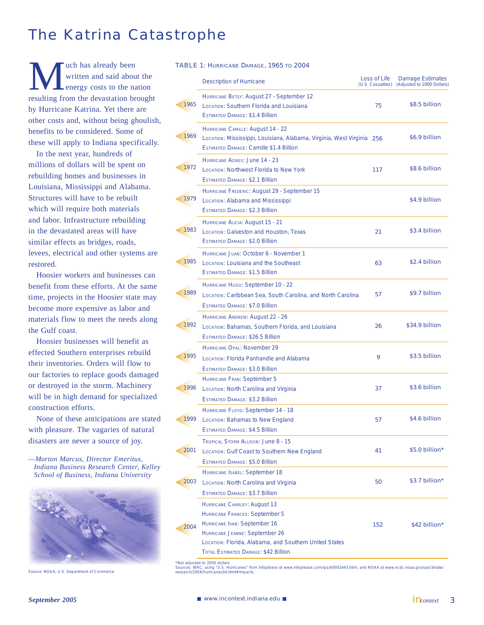## The Katrina Catastrophe

We uch has already been<br>written and said about<br>mergy costs to the narresulting from the devastation brace written and said about the energy costs to the nation resulting from the devastation brought by Hurricane Katrina. Yet there are other costs and, without being ghoulish, benefits to be considered. Some of these will apply to Indiana specifically.

In the next year, hundreds of millions of dollars will be spent on rebuilding homes and businesses in Louisiana, Mississippi and Alabama. Structures will have to be rebuilt which will require both materials and labor. Infrastructure rebuilding in the devastated areas will have similar effects as bridges, roads, levees, electrical and other systems are restored.

Hoosier workers and businesses can benefit from these efforts. At the same time, projects in the Hoosier state may become more expensive as labor and materials flow to meet the needs along the Gulf coast.

Hoosier businesses will benefit as effected Southern enterprises rebuild their inventories. Orders will flow to our factories to replace goods damaged or destroyed in the storm. Machinery will be in high demand for specialized construction efforts.

None of these anticipations are stated with pleasure. The vagaries of natural disasters are never a source of joy.

*—Morton Marcus, Director Emeritus, Indiana Business Research Center, Kelley School of Business, Indiana University*



|  | <b>TABLE 1: HURRICANE DAMAGE, 1965 TO 2004</b> |  |  |  |
|--|------------------------------------------------|--|--|--|
|--|------------------------------------------------|--|--|--|

|      | <b>Description of Hurricane</b>                                                                                                                                                                                                                  | Loss of Life<br>(U.S. Casualties) | Damage Estimates<br>(Adjusted to 2000 Dollars) |
|------|--------------------------------------------------------------------------------------------------------------------------------------------------------------------------------------------------------------------------------------------------|-----------------------------------|------------------------------------------------|
| 1965 | HURRICANE BETSY: August 27 - September 12<br>LOCATION: Southern Florida and Louisiana<br><b>ESTIMATED DAMAGE: \$1.4 Billion</b>                                                                                                                  | 75                                | \$8.5 billion                                  |
| 1969 | HURRICANE CAMILLE: August 14 - 22<br>LOCATION: Mississippi, Louisiana, Alabama, Virginia, West Virginia 256<br><b>ESTIMATED DAMAGE: Camille \$1.4 Billion</b>                                                                                    |                                   | \$6.9 billion                                  |
| 1972 | HURRICANE AGNES: June 14 - 23<br><b>LOCATION: Northwest Florida to New York</b><br><b>ESTIMATED DAMAGE: \$2.1 Billion</b>                                                                                                                        | 117                               | \$8.6 billion                                  |
| 1979 | HURRICANE FREDERIC: August 29 - September 15<br>LOCATION: Alabama and Mississippi<br><b>ESTIMATED DAMAGE: \$2.3 Billion</b>                                                                                                                      |                                   | \$4.9 billion                                  |
| 1983 | HURRICANE ALICIA: August 15 - 21<br>LOCATION: Galveston and Houston, Texas<br><b>ESTIMATED DAMAGE: \$2.0 Billion</b>                                                                                                                             | 21                                | \$3.4 billion                                  |
| 1985 | HURRICANE JUAN: October 6 - November 1<br>LOCATION: LOUISIANA and the Southeast<br><b>ESTIMATED DAMAGE: \$1.5 Billion</b>                                                                                                                        | 63                                | \$2.4 billion                                  |
| 1989 | HURRICANE HUGO: September 10 - 22<br>LOCATION: Caribbean Sea, South Carolina, and North Carolina<br><b>ESTIMATED DAMAGE: \$7.0 Billion</b>                                                                                                       | 57                                | \$9.7 billion                                  |
| 1992 | HURRICANE ANDREW: August 22 - 26<br>LOCATION: Bahamas, Southern Florida, and Louisiana<br><b>ESTIMATED DAMAGE: \$26.5 Billion</b>                                                                                                                | 26                                | \$34.9 billion                                 |
| 1995 | <b>HURRICANE OPAL: November 29</b><br>LOCATION: Florida Panhandle and Alabama<br><b>ESTIMATED DAMAGE: \$3.0 Billion</b>                                                                                                                          | 9                                 | \$3.5 billion                                  |
| 1996 | <b>HURRICANE FRAN: September 5</b><br>LOCATION: North Carolina and Virginia<br><b>ESTIMATED DAMAGE: \$3.2 Billion</b>                                                                                                                            | 37                                | \$3.6 billion                                  |
| 1999 | HURRICANE FLOYD: September 14 - 18<br>LOCATION: Bahamas to New England<br>ESTIMATED DAMAGE: \$4.5 Billion                                                                                                                                        | 57                                | \$4.6 billion                                  |
| 2001 | <b>TROPICAL STORM ALLISON: June 8 - 15</b><br>LOCATION: Gulf Coast to Southern New England<br><b>ESTIMATED DAMAGE: \$5.0 Billion</b>                                                                                                             | 41                                | \$5.0 billion*                                 |
| 2003 | HURRICANE ISABEL: September 18<br>LOCATION: North Carolina and Virginia<br><b>ESTIMATED DAMAGE: \$3.7 Billion</b>                                                                                                                                | 50                                | \$3.7 billion*                                 |
| 2004 | <b>HURRICANE CHARLEY: August 13</b><br><b>HURRICANE FRANCES: September 5</b><br>HURRICANE IVAN: September 16<br>HURRICANE JEANNE: September 26<br>LOCATION: Florida, Alabama, and Southern United States<br>TOTAL ESTIMATED DAMAGE: \$42 Billion | 152                               | \$42 billion*                                  |

\*Not adjusted to 2000 dollars<br>Source: NOAA, U.S. Department of Commerce (Source: IBRC, using \*U.S. Hurricanes\* from Infoplease at [www.infoplease.com/ipa/A0001443.html,](http://www.infoplease.com/ipa/A0001443.html) and NOAA at [www.ncdc.noaa.gov/oa/climate/](http://www.ncdc.noaa.gov/oa/climate)<br>Source: NOA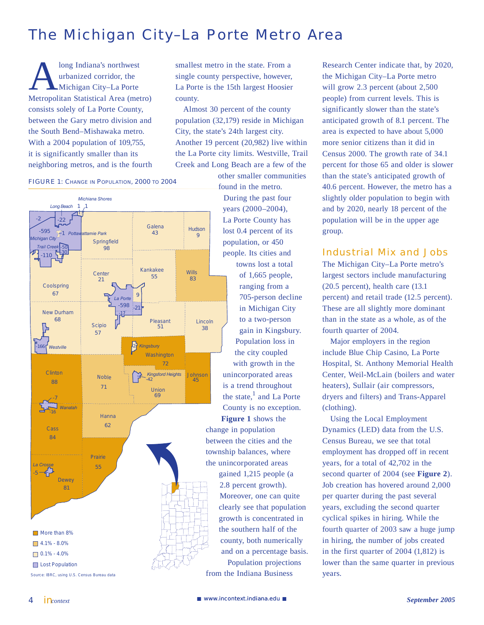## The Michigan City–La Porte Metro Area

long Indiana's northwest urbanized corridor, the Michigan City–La Porte Metropolitan Statistical Area (metro) consists solely of La Porte County, between the Gary metro division and the South Bend–Mishawaka metro. With a 2004 population of 109,755, it is significantly smaller than its neighboring metros, and is the fourth

### FIGURE 1: CHANGE IN POPULATION, 2000 TO 2004



smallest metro in the state. From a single county perspective, however, La Porte is the 15th largest Hoosier county.

Almost 30 percent of the county population (32,179) reside in Michigan City, the state's 24th largest city. Another 19 percent (20,982) live within the La Porte city limits. Westville, Trail Creek and Long Beach are a few of the

other smaller communities found in the metro. During the past four years (2000–2004), La Porte County has lost 0.4 percent of its population, or 450 people. Its cities and towns lost a total of 1,665 people, ranging from a 705-person decline in Michigan City to a two-person gain in Kingsbury. Population loss in the city coupled with growth in the

unincorporated areas is a trend throughout the state, $<sup>1</sup>$  and La Porte</sup> County is no exception.

**Figure 1** shows the change in population between the cities and the township balances, where the unincorporated areas

> gained 1,215 people (a 2.8 percent growth). Moreover, one can quite clearly see that population growth is concentrated in the southern half of the county, both numerically and on a percentage basis.

Population projections from the Indiana Business

Research Center indicate that, by 2020, the Michigan City–La Porte metro will grow 2.3 percent (about 2,500 people) from current levels. This is significantly slower than the state's anticipated growth of 8.1 percent. The area is expected to have about 5,000 more senior citizens than it did in Census 2000. The growth rate of 34.1 percent for those 65 and older is slower than the state's anticipated growth of 40.6 percent. However, the metro has a slightly older population to begin with and by 2020, nearly 18 percent of the population will be in the upper age group.

### Industrial Mix and Jobs

The Michigan City–La Porte metro's largest sectors include manufacturing (20.5 percent), health care (13.1 percent) and retail trade (12.5 percent). These are all slightly more dominant than in the state as a whole, as of the fourth quarter of 2004.

Major employers in the region include Blue Chip Casino, La Porte Hospital, St. Anthony Memorial Health Center, Weil-McLain (boilers and water heaters), Sullair (air compressors, dryers and filters) and Trans-Apparel (clothing).

Using the Local Employment Dynamics (LED) data from the U.S. Census Bureau, we see that total employment has dropped off in recent years, for a total of 42,702 in the second quarter of 2004 (see **Figure 2**). Job creation has hovered around 2,000 per quarter during the past several years, excluding the second quarter cyclical spikes in hiring. While the fourth quarter of 2003 saw a huge jump in hiring, the number of jobs created in the first quarter of 2004 (1,812) is lower than the same quarter in previous years.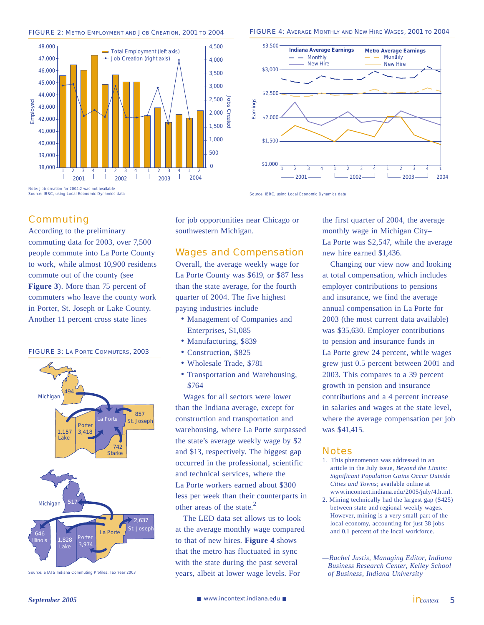



#### FIGURE 4: AVERAGE MONTHLY AND NEW HIRE WAGES, 2001 TO 2004



Source: IBRC, using Local Economic Dynamics data

**Commuting** 

According to the preliminary commuting data for 2003, over 7,500 people commute into La Porte County to work, while almost 10,900 residents commute out of the county (see **Figure 3**). More than 75 percent of commuters who leave the county work in Porter, St. Joseph or Lake County. Another 11 percent cross state lines





Source: STATS Indiana Commuting Profiles, Tax Year 2003

for job opportunities near Chicago or southwestern Michigan.

### Wages and Compensation

Overall, the average weekly wage for La Porte County was \$619, or \$87 less than the state average, for the fourth quarter of 2004. The five highest paying industries include

- Management of Companies and Enterprises, \$1,085
- Manufacturing, \$839
- Construction, \$825 •
- Wholesale Trade, \$781 •
- Transportation and Warehousing, \$764

Wages for all sectors were lower than the Indiana average, except for construction and transportation and warehousing, where La Porte surpassed the state's average weekly wage by \$2 and \$13, respectively. The biggest gap occurred in the professional, scientific and technical services, where the La Porte workers earned about \$300 less per week than their counterparts in other areas of the state. $^{2}$ 

The LED data set allows us to look at the average monthly wage compared to that of new hires. **Figure 4** shows that the metro has fluctuated in sync with the state during the past several years, albeit at lower wage levels. For

the first quarter of 2004, the average monthly wage in Michigan City– La Porte was \$2,547, while the average new hire earned \$1,436.

Changing our view now and looking at total compensation, which includes employer contributions to pensions and insurance, we find the average annual compensation in La Porte for 2003 (the most current data available) was \$35,630. Employer contributions to pension and insurance funds in La Porte grew 24 percent, while wages grew just 0.5 percent between 2001 and 2003. This compares to a 39 percent growth in pension and insurance contributions and a 4 percent increase in salaries and wages at the state level, where the average compensation per job was \$41,415.

#### Notes

- 1. This phenomenon was addressed in an article in the July issue, *Beyond the Limits: Significant Population Gains Occur Outside Cities and Towns*; available online at [www.incontext.indiana.edu/2005/july/4.html.](http://www.incontext.indiana.edu/2005/july/4.html)
- 2. Mining technically had the largest gap (\$425) between state and regional weekly wages. However, mining is a very small part of the local economy, accounting for just 38 jobs and 0.1 percent of the local workforce.

*—Rachel Justis, Managing Editor, Indiana Business Research Center, Kelley School of Business, Indiana University*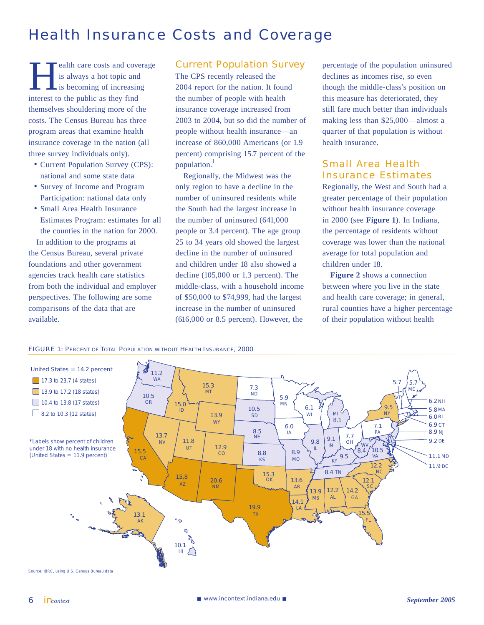## Health Insurance Costs and Coverage

ealth care costs and coverage is always a hot topic and is becoming of increasing interest to the public as they find themselves shouldering more of the costs. The Census Bureau has three program areas that examine health insurance coverage in the nation (all three survey individuals only).

- Current Population Survey (CPS): national and some state data
- Survey of Income and Program Participation: national data only
- Small Area Health Insurance Estimates Program: estimates for all the counties in the nation for 2000. In addition to the programs at

the Census Bureau, several private foundations and other government agencies track health care statistics from both the individual and employer perspectives. The following are some comparisons of the data that are available.

### Current Population Survey

The CPS recently released the 2004 report for the nation. It found the number of people with health insurance coverage increased from 2003 to 2004, but so did the number of people without health insurance—an increase of 860,000 Americans (or 1.9 percent) comprising 15.7 percent of the population.1

Regionally, the Midwest was the only region to have a decline in the number of uninsured residents while the South had the largest increase in the number of uninsured (641,000 people or 3.4 percent). The age group 25 to 34 years old showed the largest decline in the number of uninsured and children under 18 also showed a decline (105,000 or 1.3 percent). The middle-class, with a household income of \$50,000 to \$74,999, had the largest increase in the number of uninsured (616,000 or 8.5 percent). However, the

percentage of the population uninsured declines as incomes rise, so even though the middle-class's position on this measure has deteriorated, they still fare much better than individuals making less than \$25,000—almost a quarter of that population is without health insurance.

### Small Area Health Insurance Estimates

Regionally, the West and South had a greater percentage of their population without health insurance coverage in 2000 (see **Figure 1**). In Indiana, the percentage of residents without coverage was lower than the national average for total population and children under 18.

**Figure 2** shows a connection between where you live in the state and health care coverage; in general, rural counties have a higher percentage of their population without health



FIGURE 1: PERCENT OF TOTAL POPULATION WITHOUT HEALTH INSURANCE, 2000

6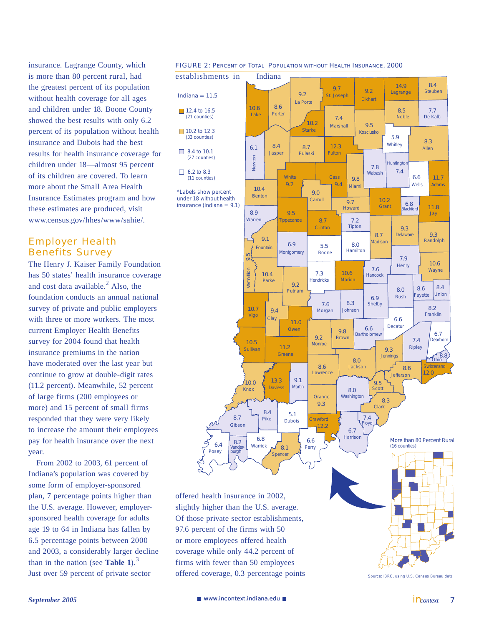insurance. Lagrange County, which is more than 80 percent rural, had the greatest percent of its population without health coverage for all ages and children under 18. Boone County showed the best results with only 6.2 percent of its population without health insurance and Dubois had the best results for health insurance coverage for children under 18—almost 95 percent of its children are covered. To learn more about the Small Area Health Insurance Estimates program and how these estimates are produced, visit [www.census.gov/hhes/www/sahi](http://www.census.gov/hhes/www/sahie)e/.

### Employer Health Benefits Survey

The Henry J. Kaiser Family Foundation has 50 states' health insurance coverage and cost data available. $^{2}$  Also, the foundation conducts an annual national survey of private and public employers with three or more workers. The most current Employer Health Benefits survey for 2004 found that health insurance premiums in the nation have moderated over the last year but continue to grow at double-digit rates (11.2 percent). Meanwhile, 52 percent of large firms (200 employees or more) and 15 percent of small firms responded that they were very likely to increase the amount their employees pay for health insurance over the next year.

From 2002 to 2003, 61 percent of Indiana's population was covered by some form of employer-sponsored plan, 7 percentage points higher than the U.S. average. However, employersponsored health coverage for adults age 19 to 64 in Indiana has fallen by 6.5 percentage points between 2000 and 2003, a considerably larger decline than in the nation (see **Table 1**).<sup>3</sup> Just over 59 percent of private sector

#### FIGURE 2: PERCENT OF TOTAL POPULATION WITHOUT HEALTH INSURANCE, 2000



offered health insurance in 2002, slightly higher than the U.S. average. Of those private sector establishments, 97.6 percent of the firms with 50 or more employees offered health coverage while only 44.2 percent of firms with fewer than 50 employees offered coverage, 0.3 percentage points

7

Source: IBRC, using U.S. Census Bureau data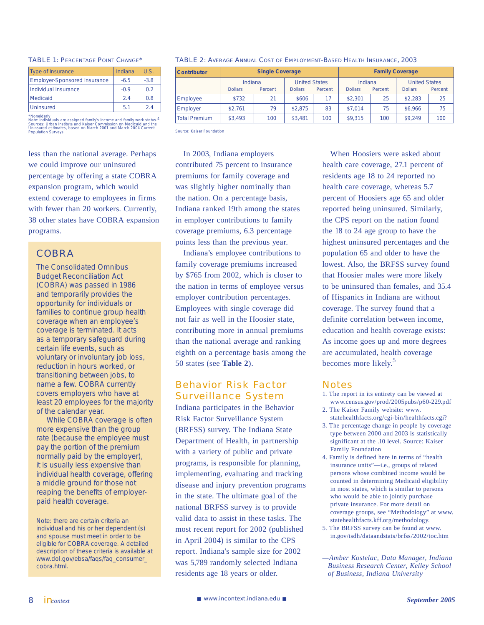#### TABLE 1: PERCENTAGE POINT CHANGE\*

| <b>Type of Insurance</b>            | Indiana | U.S.   |
|-------------------------------------|---------|--------|
| <b>Employer-Sponsored Insurance</b> | $-6.5$  | $-3.8$ |
| <b>Individual Insurance</b>         | $-0.9$  | 02     |
| Medicaid                            | 24      | 08     |
| Uninsured                           | 5.1     | 24     |

\*Nonelderly Note: Individuals are assigned family's income and family work status.4 Sources: Urban Institute and Kaiser Commission on Medicaid and the Uninsured estimates, based on March 2001 and March 2004 Current Population Surveys

less than the national average. Perhaps we could improve our uninsured percentage by offering a state COBRA expansion program, which would extend coverage to employees in firms with fewer than 20 workers. Currently, 38 other states have COBRA expansion programs.

### **COBRA**

The Consolidated Omnibus Budget Reconciliation Act (COBRA) was passed in 1986 and temporarily provides the opportunity for individuals or families to continue group health coverage when an employee's coverage is terminated. It acts as a temporary safeguard during certain life events, such as voluntary or involuntary job loss, reduction in hours worked, or transitioning between jobs, to name a few. COBRA currently covers employers who have at least 20 employees for the majority of the calendar year.

 While COBRA coverage is often more expensive than the group rate (because the employee must pay the portion of the premium normally paid by the employer), it is usually less expensive than individual health coverage, offering a middle ground for those not reaping the benefits of employerpaid health coverage.

Note: there are certain criteria an individual and his or her dependent (s) and spouse must meet in order to be eligible for COBRA coverage. A detailed description of these criteria is available at [www.dol.gov/ebsa/faqs/faq\\_consumer\\_](http://www.dol.gov/ebsa/faqs/faq_consumer_) cobra.html.

#### TABLE 2: AVERAGE ANNUAL COST OF EMPLOYMENT-BASED HEALTH INSURANCE, 2003

| <b>Contributor</b>   | <b>Single Coverage</b> |                                                                         |         | <b>Family Coverage</b>               |         |                                                   |         |     |
|----------------------|------------------------|-------------------------------------------------------------------------|---------|--------------------------------------|---------|---------------------------------------------------|---------|-----|
|                      | <b>Dollars</b>         | <b>United States</b><br>Indiana<br><b>Dollars</b><br>Percent<br>Percent |         | Indiana<br><b>Dollars</b><br>Percent |         | <b>United States</b><br>Percent<br><b>Dollars</b> |         |     |
| Employee             | \$732                  | 21                                                                      | \$606   |                                      | \$2,301 | 25                                                | \$2.283 | 25  |
| Employer             | \$2.761                | 79                                                                      | \$2,875 | 83                                   | \$7.014 | 75                                                | \$6.966 | 75  |
| <b>Total Premium</b> | \$3.493                | 100                                                                     | \$3.481 | 100                                  | \$9,315 | 100                                               | \$9.249 | 100 |

Source: Kaiser Foundation

In 2003, Indiana employers contributed 75 percent to insurance premiums for family coverage and was slightly higher nominally than the nation. On a percentage basis, Indiana ranked 19th among the states in employer contributions to family coverage premiums, 6.3 percentage points less than the previous year.

Indiana's employee contributions to family coverage premiums increased by \$765 from 2002, which is closer to the nation in terms of employee versus employer contribution percentages. Employees with single coverage did not fair as well in the Hoosier state, contributing more in annual premiums than the national average and ranking eighth on a percentage basis among the 50 states (see **Table 2**).

### Behavior Risk Factor Surveillance System

Indiana participates in the Behavior Risk Factor Surveillance System (BRFSS) survey. The Indiana State Department of Health, in partnership with a variety of public and private programs, is responsible for planning, implementing, evaluating and tracking disease and injury prevention programs in the state. The ultimate goal of the national BRFSS survey is to provide valid data to assist in these tasks. The most recent report for 2002 (published in April 2004) is similar to the CPS report. Indiana's sample size for 2002 was 5,789 randomly selected Indiana residents age 18 years or older.

When Hoosiers were asked about health care coverage, 27.1 percent of residents age 18 to 24 reported no health care coverage, whereas 5.7 percent of Hoosiers age 65 and older reported being uninsured. Similarly, the CPS report on the nation found the 18 to 24 age group to have the highest uninsured percentages and the population 65 and older to have the lowest. Also, the BRFSS survey found that Hoosier males were more likely to be uninsured than females, and 35.4 of Hispanics in Indiana are without coverage. The survey found that a definite correlation between income, education and health coverage exists: As income goes up and more degrees are accumulated, health coverage becomes more likely.<sup>5</sup>

### **Notes**

- 1. The report in its entirety can be viewed at [www.census.gov/prod/2005pubs/p60-229.pdf](http://www.census.gov/prod/2005pubs/p60-229.pdf)
- 2. The Kaiser Family website: [www.](http://www.statehealthfacts.org/cgi-bin/healthfacts.cgi?) [statehealthfacts.org/cgi-bin/healthfacts.cgi?](http://www.statehealthfacts.org/cgi-bin/healthfacts.cgi?)
- 3. The percentage change in people by coverage type between 2000 and 2003 is statistically significant at the .10 level. Source: Kaiser Family Foundation
- 4. Family is defined here in terms of "health insurance units"—i.e., groups of related persons whose combined income would be counted in determining Medicaid eligibility in most states, which is similar to persons who would be able to jointly purchase private insurance. For more detail on coverage groups, see "Methodology" at [www.](http://www.statehealthfacts.kff.org/methodology) [statehealthfacts.kff.org/methodology.](http://www.statehealthfacts.kff.org/methodology)
- 5. The BRFSS survey can be found at [www.](http://www.in.gov/isdh/dataandstats/brfss/2002/toc.htm) [in.gov/isdh/dataandstats/brfss/2002/toc.htm](http://www.in.gov/isdh/dataandstats/brfss/2002/toc.htm)

*<sup>—</sup>Amber Kostelac, Data Manager, Indiana Business Research Center, Kelley School of Business, Indiana University*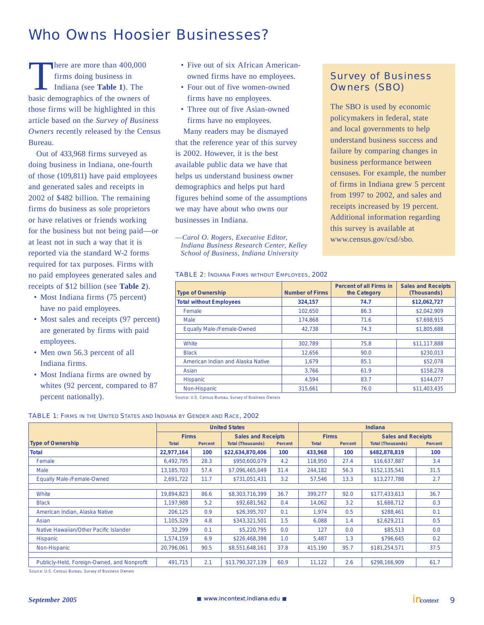# Who Owns Hoosier Businesses?

here are more than 400,000 firms doing business in Indiana (see **Table 1**). The basic demographics of the owners of those firms will be highlighted in this article based on the *Survey of Business Owners* recently released by the Census Bureau.

Out of 433,968 firms surveyed as doing business in Indiana, one-fourth of those (109,811) have paid employees and generated sales and receipts in 2002 of \$482 billion. The remaining firms do business as sole proprietors or have relatives or friends working for the business but not being paid—or at least not in such a way that it is reported via the standard W-2 forms required for tax purposes. Firms with no paid employees generated sales and receipts of \$12 billion (see **Table 2**).

- Most Indiana firms (75 percent) have no paid employees.
- Most sales and receipts (97 percent) are generated by firms with paid employees.
- Men own 56.3 percent of all Indiana firms.
- Most Indiana firms are owned by whites (92 percent, compared to 87 percent nationally).
- Five out of six African Americanowned firms have no employees.
- Four out of five women-owned firms have no employees.
- Three out of five Asian-owned firms have no employees.

Many readers may be dismayed that the reference year of this survey is 2002. However, it is the best available public data we have that helps us understand business owner demographics and helps put hard figures behind some of the assumptions we may have about who owns our businesses in Indiana.

*—Carol O. Rogers, Executive Editor, Indiana Business Research Center, Kelley School of Business, Indiana University*

## Survey of Business Owners (SBO)

The SBO is used by economic policymakers in federal, state and local governments to help understand business success and failure by comparing changes in business performance between censuses. For example, the number of firms in Indiana grew 5 percent from 1997 to 2002, and sales and receipts increased by 19 percent. Additional information regarding this survey is available at [www.census.gov/csd/sbo.](http://www.census.gov/csd/sbo)

#### TABLE 2: INDIANA FIRMS WITHOUT EMPLOYEES, 2002

| <b>Type of Ownership</b>          | <b>Number of Firms</b> | <b>Percent of all Firms in</b><br>the Category | <b>Sales and Receipts</b><br>(Thousands) |
|-----------------------------------|------------------------|------------------------------------------------|------------------------------------------|
| <b>Total without Employees</b>    | 324,157                | 74.7                                           | \$12,062,727                             |
| Female                            | 102.650                | 86.3                                           | \$2,042,909                              |
| Male                              | 174.868                | 71.6                                           | \$7,698,915                              |
| <b>Equally Male-/Female-Owned</b> | 42,738                 | 74.3                                           | \$1,805,688                              |
|                                   |                        |                                                |                                          |
| White                             | 302.789                | 75.8                                           | \$11,117,888                             |
| <b>Black</b>                      | 12.656                 | 90.0                                           | \$230.013                                |
| American Indian and Alaska Native | 1.679                  | 85.1                                           | \$52,078                                 |
| Asian                             | 3.766                  | 61.9                                           | \$158,278                                |
| <b>Hispanic</b>                   | 4.594                  | 83.7                                           | \$144.077                                |
| Non-Hispanic                      | 315.661                | 76.0                                           | \$11,403,435                             |

Source: U.S. Census Bureau, Survey of Business Owners

#### TABLE 1: FIRMS IN THE UNITED STATES AND INDIANA BY GENDER AND RACE, 2002

|                                             | <b>United States</b> |         |                           |                |              | <b>Indiana</b> |                           |         |
|---------------------------------------------|----------------------|---------|---------------------------|----------------|--------------|----------------|---------------------------|---------|
|                                             | <b>Firms</b>         |         | <b>Sales and Receipts</b> |                | <b>Firms</b> |                | <b>Sales and Receipts</b> |         |
| <b>Type of Ownership</b>                    | <b>Total</b>         | Percent | <b>Total (Thousands)</b>  | <b>Percent</b> | <b>Total</b> | <b>Percent</b> | <b>Total (Thousands)</b>  | Percent |
| <b>Total</b>                                | 22,977,164           | 100     | \$22,634,870,406          | 100            | 433,968      | 100            | \$482,878,819             | 100     |
| Female                                      | 6,492,795            | 28.3    | \$950,600,079             | 4.2            | 118,950      | 27.4           | \$16,637,887              | 3.4     |
| Male                                        | 13.185.703           | 57.4    | \$7,096,465,049           | 31.4           | 244,182      | 56.3           | \$152,135,541             | 31.5    |
| <b>Equally Male-/Female-Owned</b>           | 2,691,722            | 11.7    | \$731,051,431             | 3.2            | 57.546       | 13.3           | \$13,277,788              | 2.7     |
|                                             |                      |         |                           |                |              |                |                           |         |
| White                                       | 19.894.823           | 86.6    | \$8,303,716,399           | 36.7           | 399.277      | 92.0           | \$177,433,613             | 36.7    |
| <b>Black</b>                                | 1,197,988            | 5.2     | \$92,681,562              | 0.4            | 14,062       | 3.2            | \$1,688,712               | 0.3     |
| American Indian, Alaska Native              | 206.125              | 0.9     | \$26,395,707              | 0.1            | 1.974        | 0.5            | \$288.461                 | 0.1     |
| Asian                                       | 1.105.329            | 4.8     | \$343,321,501             | 1.5            | 6,088        | 1.4            | \$2,629,211               | 0.5     |
| Native Hawaiian/Other Pacific Islander      | 32.299               | 0.1     | \$5,220,795               | 0.0            | 127          | 0.0            | \$85,513                  | 0.0     |
| <b>Hispanic</b>                             | 1,574,159            | 6.9     | \$226,468,398             | 1.0            | 5,487        | 1.3            | \$796,645                 | 0.2     |
| Non-Hispanic                                | 20,796,061           | 90.5    | \$8,551,648,161           | 37.8           | 415,190      | 95.7           | \$181,254,571             | 37.5    |
|                                             |                      |         |                           |                |              |                |                           |         |
| Publicly-Held, Foreign-Owned, and Nonprofit | 491.715              | 2.1     | \$13,790,327,139          | 60.9           | 11.122       | 2.6            | \$298,166,909             | 61.7    |

Source: U.S. Census Bureau, Survey of Business Owners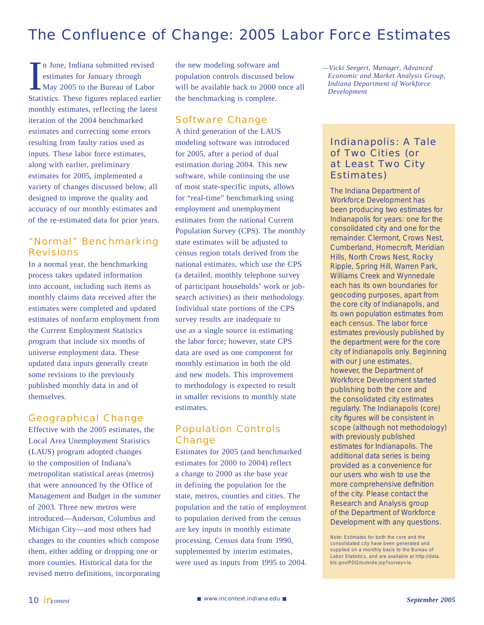## The Confluence of Change: 2005 Labor Force Estimates

In June, Indiana submitted revised<br>estimates for January through<br>May 2005 to the Bureau of Labor<br>Statistics. These figures replaced earlier n June, Indiana submitted revised estimates for January through May 2005 to the Bureau of Labor monthly estimates, reflecting the latest iteration of the 2004 benchmarked estimates and correcting some errors resulting from faulty ratios used as inputs. These labor force estimates, along with earlier, preliminary estimates for 2005, implemented a variety of changes discussed below, all designed to improve the quality and accuracy of our monthly estimates and of the re-estimated data for prior years.

### "Normal" Benchmarking **Revisions**

In a normal year, the benchmarking process takes updated information into account, including such items as monthly claims data received after the estimates were completed and updated estimates of nonfarm employment from the Current Employment Statistics program that include six months of universe employment data. These updated data inputs generally create some revisions to the previously published monthly data in and of themselves.

### Geographical Change

Effective with the 2005 estimates, the Local Area Unemployment Statistics (LAUS) program adopted changes to the composition of Indiana's metropolitan statistical areas (metros) that were announced by the Office of Management and Budget in the summer of 2003. Three new metros were introduced—Anderson, Columbus and Michigan City—and most others had changes to the counties which compose them, either adding or dropping one or more counties. Historical data for the revised metro definitions, incorporating

the new modeling software and population controls discussed below will be available back to 2000 once all the benchmarking is complete.

### Software Change

A third generation of the LAUS modeling software was introduced for 2005, after a period of dual estimation during 2004. This new software, while continuing the use of most state-specific inputs, allows for "real-time" benchmarking using employment and unemployment estimates from the national Current Population Survey (CPS). The monthly state estimates will be adjusted to census region totals derived from the national estimates, which use the CPS (a detailed, monthly telephone survey of participant households' work or jobsearch activities) as their methodology. Individual state portions of the CPS survey results are inadequate to use as a single source in estimating the labor force; however, state CPS data are used as one component for monthly estimation in both the old and new models. This improvement to methodology is expected to result in smaller revisions to monthly state estimates.

### Population Controls **Change**

Estimates for 2005 (and benchmarked estimates for 2000 to 2004) reflect a change to 2000 as the base year in defining the population for the state, metros, counties and cities. The population and the ratio of employment to population derived from the census are key inputs in monthly estimate processing. Census data from 1990, supplemented by interim estimates, were used as inputs from 1995 to 2004. *—Vicki Seegert, Manager, Advanced Economic and Market Analysis Group, Indiana Department of Workforce Development*

### Indianapolis: A Tale of Two Cities (or at Least Two City Estimates)

The Indiana Department of Workforce Development has been producing two estimates for Indianapolis for years: one for the consolidated city and one for the remainder. Clermont, Crows Nest, Cumberland, Homecroft, Meridian Hills, North Crows Nest, Rocky Ripple, Spring Hill, Warren Park, Williams Creek and Wynnedale each has its own boundaries for geocoding purposes, apart from the core city of Indianapolis, and its own population estimates from each census. The labor force estimates previously published by the department were for the core city of Indianapolis only. Beginning with our June estimates, however, the Department of Workforce Development started publishing both the core and the consolidated city estimates regularly. The Indianapolis (core) city figures will be consistent in scope (although not methodology) with previously published estimates for Indianapolis. The additional data series is being provided as a convenience for our users who wish to use the more comprehensive definition of the city. Please contact the Research and Analysis group of the Department of Workforce Development with any questions.

Note: Estimates for both the core and the consolidated city have been generated and supplied on a monthly basis to the Bureau of Labor Statistics, and are available at [http://data.](http://data) bls.gov/PDQ/outside.jsp?survey=la.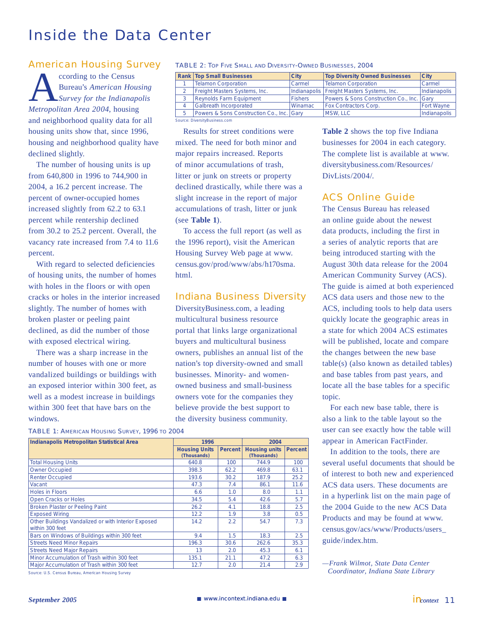## Inside the Data Center

### American Housing Survey

cording to the Census<br>Bureau's American House<br>Metropolitan Area 2004 housing Bureau's *American Housing Survey for the Indianapolis Metropolitan Area 2004*, housing and neighborhood quality data for all housing units show that, since 1996, housing and neighborhood quality have declined slightly.

The number of housing units is up from 640,800 in 1996 to 744,900 in 2004, a 16.2 percent increase. The percent of owner-occupied homes increased slightly from 62.2 to 63.1 percent while rentership declined from 30.2 to 25.2 percent. Overall, the vacancy rate increased from 7.4 to 11.6 percent.

With regard to selected deficiencies of housing units, the number of homes with holes in the floors or with open cracks or holes in the interior increased slightly. The number of homes with broken plaster or peeling paint declined, as did the number of those with exposed electrical wiring.

There was a sharp increase in the number of houses with one or more vandalized buildings or buildings with an exposed interior within 300 feet, as well as a modest increase in buildings within 300 feet that have bars on the windows.

| <b>TABLE 2: TOP FIVE SMALL AND DIVERSITY-OWNED BUSINESSES, 2004</b> |                                  |      |                                       |      |  |  |
|---------------------------------------------------------------------|----------------------------------|------|---------------------------------------|------|--|--|
|                                                                     | <b>Rank Top Small Businesses</b> | City | <b>Top Diversity Owned Businesses</b> | City |  |  |
|                                                                     |                                  |      |                                       |      |  |  |

| <b>Telamon Corporation</b>                | Carmel         | <b>Telamon Corporation</b>                   | Carmel            |
|-------------------------------------------|----------------|----------------------------------------------|-------------------|
| Freight Masters Systems, Inc.             |                | Indianapolis   Freight Masters Systems, Inc. | Indianapolis      |
| <b>Reynolds Farm Equipment</b>            | <b>Fishers</b> | Powers & Sons Construction Co., Inc. Gary    |                   |
| <b>Galbreath Incorporated</b>             | Winamac        | <b>Fox Contractors Corp.</b>                 | <b>Fort Wayne</b> |
| Powers & Sons Construction Co., Inc. Gary |                | <b>MSW. LLC</b>                              | Indianapolis      |

Source: DiversityBusiness.com

Results for street conditions were mixed. The need for both minor and major repairs increased. Reports of minor accumulations of trash, litter or junk on streets or property declined drastically, while there was a slight increase in the report of major accumulations of trash, litter or junk (see **Table 1**).

To access the full report (as well as the 1996 report), visit the American Housing Survey Web page at [www.](http://www.census.gov/prod/www/abs/h170sma) [census.gov/prod/www/abs/h170sma.](http://www.census.gov/prod/www/abs/h170sma) html.

### Indiana Business Diversity

DiversityBusiness.com, a leading multicultural business resource portal that links large organizational buyers and multicultural business owners, publishes an annual list of the nation's top diversity-owned and small businesses. Minority- and womenowned business and small-business owners vote for the companies they believe provide the best support to the diversity business community.

| <b>TABLE 1: AMERICAN HOUSING SURVEY, 1996 TO 2004</b> |  |  |  |  |  |  |
|-------------------------------------------------------|--|--|--|--|--|--|
|-------------------------------------------------------|--|--|--|--|--|--|

| <b>Indianapolis Metropolitan Statistical Area</b>                      | 1996                                |               | 2004                                |                |
|------------------------------------------------------------------------|-------------------------------------|---------------|-------------------------------------|----------------|
|                                                                        | <b>Housing Units</b><br>(Thousands) | Percent       | <b>Housing units</b><br>(Thousands) | <b>Percent</b> |
| <b>Total Housing Units</b>                                             | 640.8                               | 100           | 744.9                               | 100            |
| <b>Owner Occupied</b>                                                  | 398.3                               | 62.2          | 469.8                               | 63.1           |
| <b>Renter Occupied</b>                                                 | 193.6                               | 30.2          | 187.9                               | 25.2           |
| Vacant                                                                 | 47.3                                | 7.4           | 86.1                                | 11.6           |
| Holes in Floors                                                        | 6.6                                 | 1.0           | 8.0                                 | 1.1            |
| <b>Open Cracks or Holes</b>                                            | 34.5                                | 5.4           | 42.6                                | 5.7            |
| <b>Broken Plaster or Peeling Paint</b>                                 | 26.2                                | 4.1           | 18.8                                | 2.5            |
| <b>Exposed Wiring</b>                                                  | 12.2                                | 1.9           | 3.8                                 | 0.5            |
| Other Buildings Vandalized or with Interior Exposed<br>within 300 feet | 14.2                                | $2.2^{\circ}$ | 54.7                                | 7.3            |
| Bars on Windows of Buildings within 300 feet                           | 9.4                                 | 1.5           | 18.3                                | 2.5            |
| <b>Streets Need Minor Repairs</b>                                      | 196.3                               | 30.6          | 262.6                               | 35.3           |
| <b>Streets Need Major Repairs</b>                                      | 13                                  | 2.0           | 45.3                                | 6.1            |
| Minor Accumulation of Trash within 300 feet                            | 135.1                               | 21.1          | 47.2                                | 6.3            |
| Major Accumulation of Trash within 300 feet                            | 12.7                                | 2.0           | 21.4                                | 2.9            |

Source: U.S. Census Bureau, American Housing Survey

**Table 2** shows the top five Indiana businesses for 2004 in each category. The complete list is available at [www.](http://www.diversitybusiness.com/Resources) [diversitybusiness.com/Resources/](http://www.diversitybusiness.com/Resources) DivLists/2004/

### ACS Online Guide

The Census Bureau has released an online guide about the newest data products, including the first in a series of analytic reports that are being introduced starting with the August 30th data release for the 2004 American Community Survey (ACS). The guide is aimed at both experienced ACS data users and those new to the ACS, including tools to help data users quickly locate the geographic areas in a state for which 2004 ACS estimates will be published, locate and compare the changes between the new base table(s) (also known as detailed tables) and base tables from past years, and locate all the base tables for a specific topic.

For each new base table, there is also a link to the table layout so the user can see exactly how the table will appear in American FactFinder.

In addition to the tools, there are several useful documents that should be of interest to both new and experienced ACS data users. These documents are in a hyperlink list on the main page of the 2004 Guide to the new ACS Data Products and may be found at [www.](http://www.census.gov/acs/www/Products/users_) [census.gov/acs/www/Products/users\\_](http://www.census.gov/acs/www/Products/users_) guide/index.htm.

*—Frank Wilmot, State Data Center Coordinator, Indiana State Library*